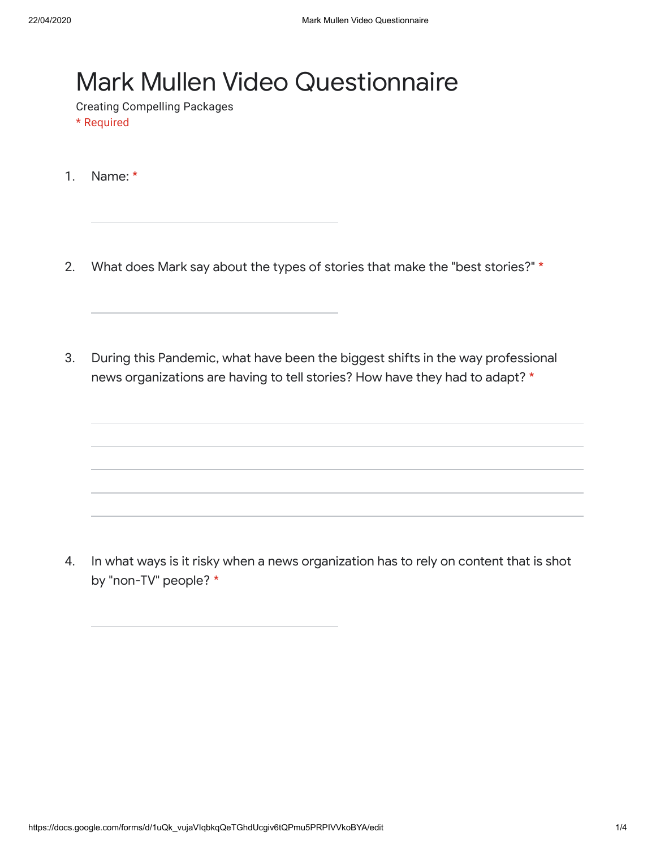## Mark Mullen Video Questionnaire

Creating Compelling Packages

- \* Required
- 1. Name: \*
- 2. What does Mark say about the types of stories that make the "best stories?" \*
- 3. During this Pandemic, what have been the biggest shifts in the way professional news organizations are having to tell stories? How have they had to adapt? \*

4. In what ways is it risky when a news organization has to rely on content that is shot by "non-TV" people? \*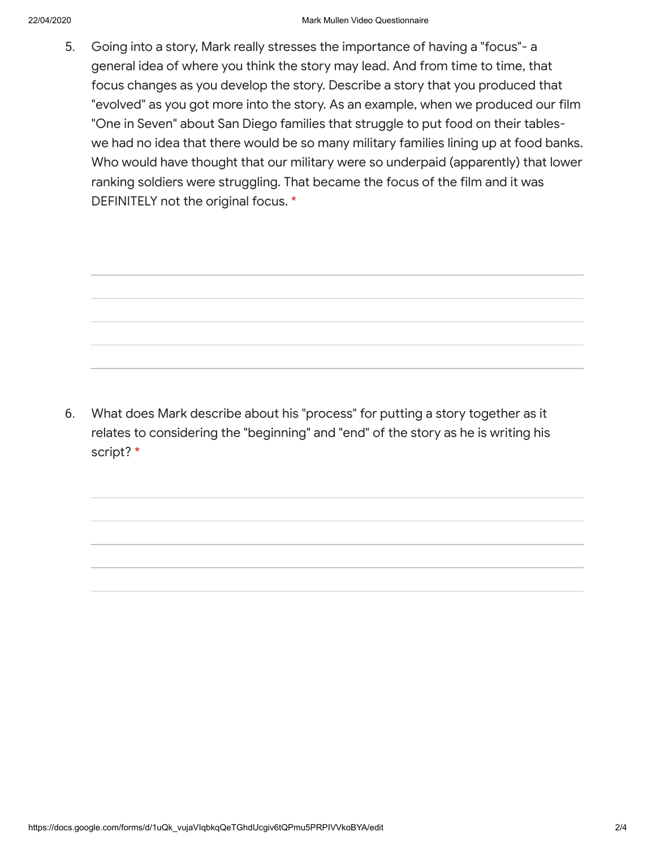5. Going into a story, Mark really stresses the importance of having a "focus"- a general idea of where you think the story may lead. And from time to time, that focus changes as you develop the story. Describe a story that you produced that "evolved" as you got more into the story. As an example, when we produced our film "One in Seven" about San Diego families that struggle to put food on their tableswe had no idea that there would be so many military families lining up at food banks. Who would have thought that our military were so underpaid (apparently) that lower ranking soldiers were struggling. That became the focus of the film and it was DEFINITELY not the original focus. \*

6. What does Mark describe about his "process" for putting a story together as it relates to considering the "beginning" and "end" of the story as he is writing his script? \*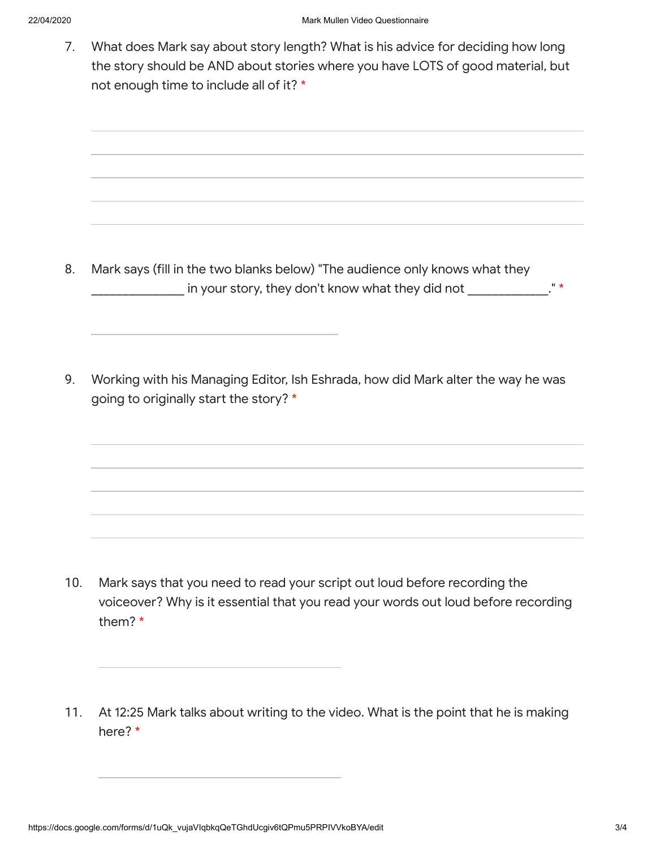7. What does Mark say about story length? What is his advice for deciding how long the story should be AND about stories where you have LOTS of good material, but not enough time to include all of it? \*

8. Mark says (fill in the two blanks below) "The audience only knows what they In your story, they don't know what they did not \_\_\_\_\_\_\_\_\_\_\_\_\_." \*

9. Working with his Managing Editor, Ish Eshrada, how did Mark alter the way he was going to originally start the story? \*

- 10. Mark says that you need to read your script out loud before recording the voiceover? Why is it essential that you read your words out loud before recording them? \*
- 11. At 12:25 Mark talks about writing to the video. What is the point that he is making here? \*